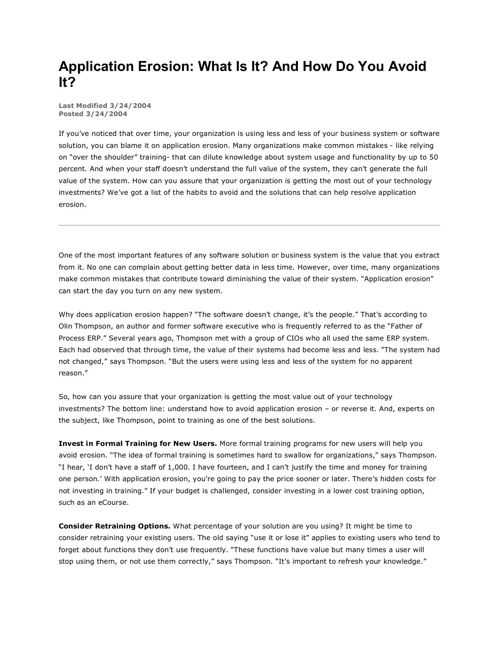## **Application Erosion: What Is It? And How Do You Avoid It?**

**Last Modified 3/24/2004 Posted 3/24/2004**

If you've noticed that over time, your organization is using less and less of your business system or software solution, you can blame it on application erosion. Many organizations make common mistakes - like relying on "over the shoulder" training- that can dilute knowledge about system usage and functionality by up to 50 percent. And when your staff doesn't understand the full value of the system, they can't generate the full value of the system. How can you assure that your organization is getting the most out of your technology investments? We've got a list of the habits to avoid and the solutions that can help resolve application erosion.

One of the most important features of any software solution or business system is the value that you extract from it. No one can complain about getting better data in less time. However, over time, many organizations make common mistakes that contribute toward diminishing the value of their system. "Application erosion" can start the day you turn on any new system.

Why does application erosion happen? "The software doesn't change, it's the people." That's according to Olin Thompson, an author and former software executive who is frequently referred to as the "Father of Process ERP." Several years ago, Thompson met with a group of CIOs who all used the same ERP system. Each had observed that through time, the value of their systems had become less and less. "The system had not changed," says Thompson. "But the users were using less and less of the system for no apparent reason."

So, how can you assure that your organization is getting the most value out of your technology investments? The bottom line: understand how to avoid application erosion – or reverse it. And, experts on the subject, like Thompson, point to training as one of the best solutions.

**Invest in Formal Training for New Users.** More formal training programs for new users will help you avoid erosion. "The idea of formal training is sometimes hard to swallow for organizations," says Thompson. "I hear, 'I don't have a staff of 1,000. I have fourteen, and I can't justify the time and money for training one person.' With application erosion, you're going to pay the price sooner or later. There's hidden costs for not investing in training." If your budget is challenged, consider investing in a lower cost training option, such as an eCourse.

**Consider Retraining Options.** What percentage of your solution are you using? It might be time to consider retraining your existing users. The old saying "use it or lose it" applies to existing users who tend to forget about functions they don't use frequently. "These functions have value but many times a user will stop using them, or not use them correctly," says Thompson. "It's important to refresh your knowledge."